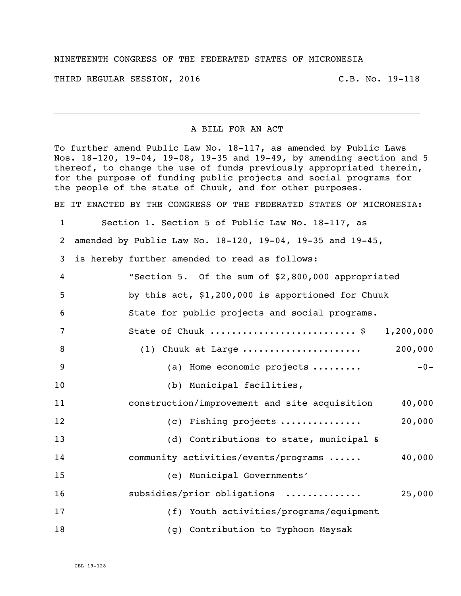## NINETEENTH CONGRESS OF THE FEDERATED STATES OF MICRONESIA

THIRD REGULAR SESSION, 2016 C.B. No. 19-118

## A BILL FOR AN ACT

To further amend Public Law No. 18-117, as amended by Public Laws Nos. 18-120, 19-04, 19-08, 19-35 and 19-49, by amending section and 5 thereof, to change the use of funds previously appropriated therein, for the purpose of funding public projects and social programs for the people of the state of Chuuk, and for other purposes.

BE IT ENACTED BY THE CONGRESS OF THE FEDERATED STATES OF MICRONESIA:

Section 1. Section 5 of Public Law No. 18-117, as

amended by Public Law No. 18-120, 19-04, 19-35 and 19-45,

is hereby further amended to read as follows:

| 4               | "Section 5. Of the sum of \$2,800,000 appropriated      |
|-----------------|---------------------------------------------------------|
| 5               | by this act, \$1,200,000 is apportioned for Chuuk       |
| 6               | State for public projects and social programs.          |
| $7\phantom{.0}$ | State of Chuuk  \$<br>1,200,000                         |
| 8               | (1) Chuuk at Large  200,000                             |
| 9               | $-0-$<br>(a) Home economic projects                     |
| 10              | (b) Municipal facilities,                               |
| 11              | construction/improvement and site acquisition<br>40,000 |
| 12              | 20,000<br>(c) Fishing projects                          |
| 13              | (d) Contributions to state, municipal &                 |
| 14              | community activities/events/programs<br>40,000          |
| 15              | (e) Municipal Governments'                              |
| 16              | subsidies/prior obligations<br>25,000                   |
| 17              | (f) Youth activities/programs/equipment                 |
| 18              | (g) Contribution to Typhoon Maysak                      |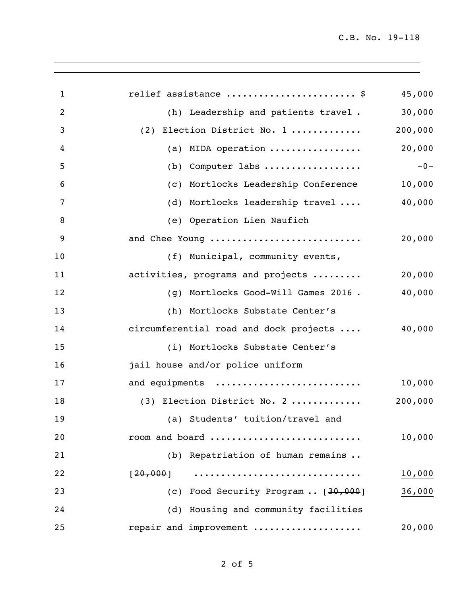| $\mathbf{1}$   | relief assistance  \$                                   | 45,000  |
|----------------|---------------------------------------------------------|---------|
| 2              | (h) Leadership and patients travel.                     | 30,000  |
| 3              | (2) Election District No. 1                             | 200,000 |
| $\overline{4}$ | (a) MIDA operation $\ldots \ldots \ldots \ldots \ldots$ | 20,000  |
| 5              | $(b)$ Computer labs                                     | $-0-$   |
| 6              | (c) Mortlocks Leadership Conference                     | 10,000  |
| 7              | (d) Mortlocks leadership travel                         | 40,000  |
| 8              | (e) Operation Lien Naufich                              |         |
| 9              | and Chee Young                                          | 20,000  |
| 10             | (f) Municipal, community events,                        |         |
| 11             | activities, programs and projects                       | 20,000  |
| 12             | (g) Mortlocks Good-Will Games 2016.                     | 40,000  |
| 13             | (h) Mortlocks Substate Center's                         |         |
| 14             | circumferential road and dock projects                  | 40,000  |
| 15             | (i) Mortlocks Substate Center's                         |         |
| 16             | jail house and/or police uniform                        |         |
| 17             | and equipments                                          | 10,000  |
| 18             | (3) Election District No. 2                             | 200,000 |
| 19             | (a) Students' tuition/travel and                        |         |
| 20             | room and board                                          | 10,000  |
| 21             | (b) Repatriation of human remains                       |         |
| 22             | [20, 000]                                               | 10,000  |
| 23             | (c) Food Security Program  [30,000]                     | 36,000  |
| 24             | (d) Housing and community facilities                    |         |
| 25             | repair and improvement                                  | 20,000  |
|                |                                                         |         |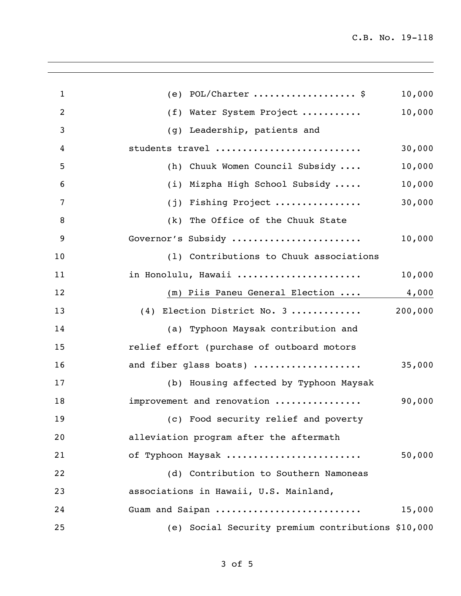| $\mathbf{1}$ | (e) $POL/Character$ \$                             | 10,000  |
|--------------|----------------------------------------------------|---------|
| 2            | (f) Water System Project                           | 10,000  |
| 3            | (g) Leadership, patients and                       |         |
| 4            | students travel                                    | 30,000  |
| 5            | (h) Chuuk Women Council Subsidy                    | 10,000  |
| 6            | (i) Mizpha High School Subsidy                     | 10,000  |
| 7            | (j) Fishing Project                                | 30,000  |
| 8            | (k) The Office of the Chuuk State                  |         |
| 9            | Governor's Subsidy                                 | 10,000  |
| 10           | (1) Contributions to Chuuk associations            |         |
| 11           | in Honolulu, Hawaii                                | 10,000  |
| 12           | $(m)$ Piis Paneu General Election                  | 4,000   |
| 13           | (4) Election District No. 3                        | 200,000 |
| 14           | (a) Typhoon Maysak contribution and                |         |
| 15           | relief effort (purchase of outboard motors         |         |
| 16           | and fiber glass boats)                             | 35,000  |
| 17           | (b) Housing affected by Typhoon Maysak             |         |
| 18           | improvement and renovation                         | 90,000  |
| 19           | (c) Food security relief and poverty               |         |
| 20           | alleviation program after the aftermath            |         |
| 21           | of Typhoon Maysak                                  | 50,000  |
| 22           | (d) Contribution to Southern Namoneas              |         |
| 23           | associations in Hawaii, U.S. Mainland,             |         |
| 24           | Guam and Saipan                                    | 15,000  |
| 25           | (e) Social Security premium contributions \$10,000 |         |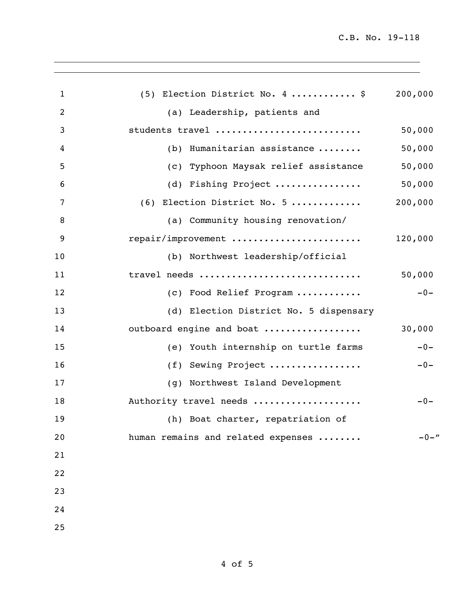| (5) Election District No. 4  \$        | 200,000  |
|----------------------------------------|----------|
| (a) Leadership, patients and           |          |
| students travel                        | 50,000   |
| (b) Humanitarian assistance            | 50,000   |
| (c) Typhoon Maysak relief assistance   | 50,000   |
| (d) Fishing Project                    | 50,000   |
| (6) Election District No. 5            | 200,000  |
| (a) Community housing renovation/      |          |
| repair/improvement                     | 120,000  |
| (b) Northwest leadership/official      |          |
| travel needs                           | 50,000   |
| (c) Food Relief Program                | $-0-$    |
| (d) Election District No. 5 dispensary |          |
| outboard engine and boat               | 30,000   |
| (e) Youth internship on turtle farms   | $-0-$    |
| (f) Sewing Project                     | $-0-$    |
| (g) Northwest Island Development       |          |
| Authority travel needs                 | $-0-$    |
| (h) Boat charter, repatriation of      |          |
| human remains and related expenses     | $-0 -$ " |
|                                        |          |
|                                        |          |
|                                        |          |
|                                        |          |
|                                        |          |
|                                        |          |